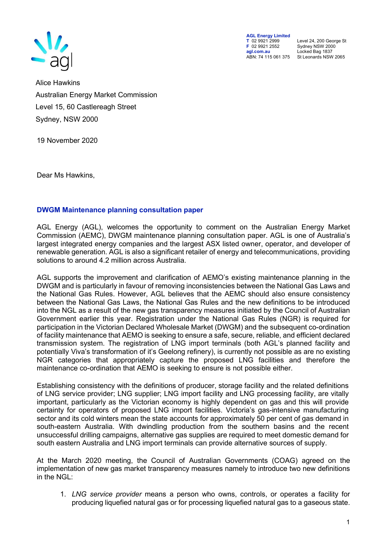

AGL Energy Limited<br>
T 02 9921 2999<br>
F 02 9921 2552 F 02 9921 2552 Sydney NSW 2000 agl.com.au Locked Bag 1837<br>ABN: 74 115 061 375 St Leonards NSW

T 02 9921 2999 Level 24, 200 George St St Leonards NSW 2065

Alice Hawkins Australian Energy Market Commission Level 15, 60 Castlereagh Street Sydney, NSW 2000

19 November 2020

Dear Ms Hawkins,

## DWGM Maintenance planning consultation paper

AGL Energy (AGL), welcomes the opportunity to comment on the Australian Energy Market Commission (AEMC), DWGM maintenance planning consultation paper. AGL is one of Australia's largest integrated energy companies and the largest ASX listed owner, operator, and developer of renewable generation. AGL is also a significant retailer of energy and telecommunications, providing solutions to around 4.2 million across Australia.

AGL supports the improvement and clarification of AEMO's existing maintenance planning in the DWGM and is particularly in favour of removing inconsistencies between the National Gas Laws and the National Gas Rules. However, AGL believes that the AEMC should also ensure consistency between the National Gas Laws, the National Gas Rules and the new definitions to be introduced into the NGL as a result of the new gas transparency measures initiated by the Council of Australian Government earlier this year. Registration under the National Gas Rules (NGR) is required for participation in the Victorian Declared Wholesale Market (DWGM) and the subsequent co-ordination of facility maintenance that AEMO is seeking to ensure a safe, secure, reliable, and efficient declared transmission system. The registration of LNG import terminals (both AGL's planned facility and potentially Viva's transformation of it's Geelong refinery), is currently not possible as are no existing NGR categories that appropriately capture the proposed LNG facilities and therefore the maintenance co-ordination that AEMO is seeking to ensure is not possible either.

Establishing consistency with the definitions of producer, storage facility and the related definitions of LNG service provider; LNG supplier; LNG import facility and LNG processing facility, are vitally important, particularly as the Victorian economy is highly dependent on gas and this will provide certainty for operators of proposed LNG import facilities. Victoria's gas-intensive manufacturing sector and its cold winters mean the state accounts for approximately 50 per cent of gas demand in south-eastern Australia. With dwindling production from the southern basins and the recent unsuccessful drilling campaigns, alternative gas supplies are required to meet domestic demand for south eastern Australia and LNG import terminals can provide alternative sources of supply.

At the March 2020 meeting, the Council of Australian Governments (COAG) agreed on the implementation of new gas market transparency measures namely to introduce two new definitions in the NGL:

1. LNG service provider means a person who owns, controls, or operates a facility for producing liquefied natural gas or for processing liquefied natural gas to a gaseous state.